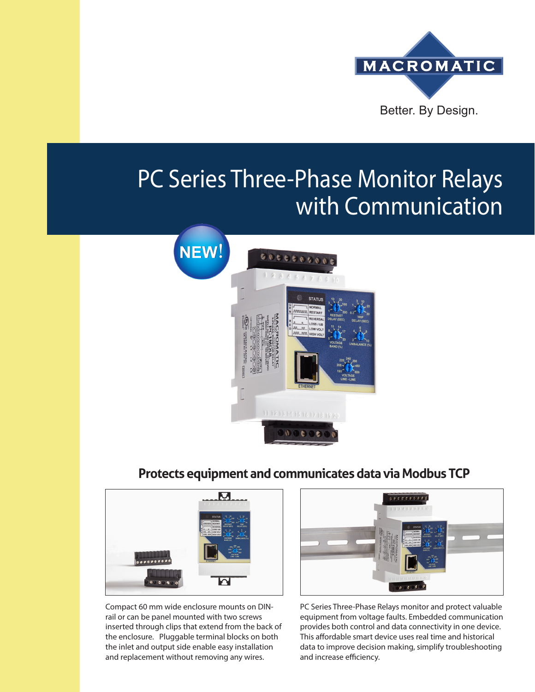

# PC Series Three-Phase Monitor Relays with Communication



### **Protects equipment and communicates data via Modbus TCP**



Compact 60 mm wide enclosure mounts on DINrail or can be panel mounted with two screws inserted through clips that extend from the back of the enclosure. Pluggable terminal blocks on both the inlet and output side enable easy installation and replacement without removing any wires.



PC Series Three-Phase Relays monitor and protect valuable equipment from voltage faults. Embedded communication provides both control and data connectivity in one device. This affordable smart device uses real time and historical data to improve decision making, simplify troubleshooting and increase efficiency.